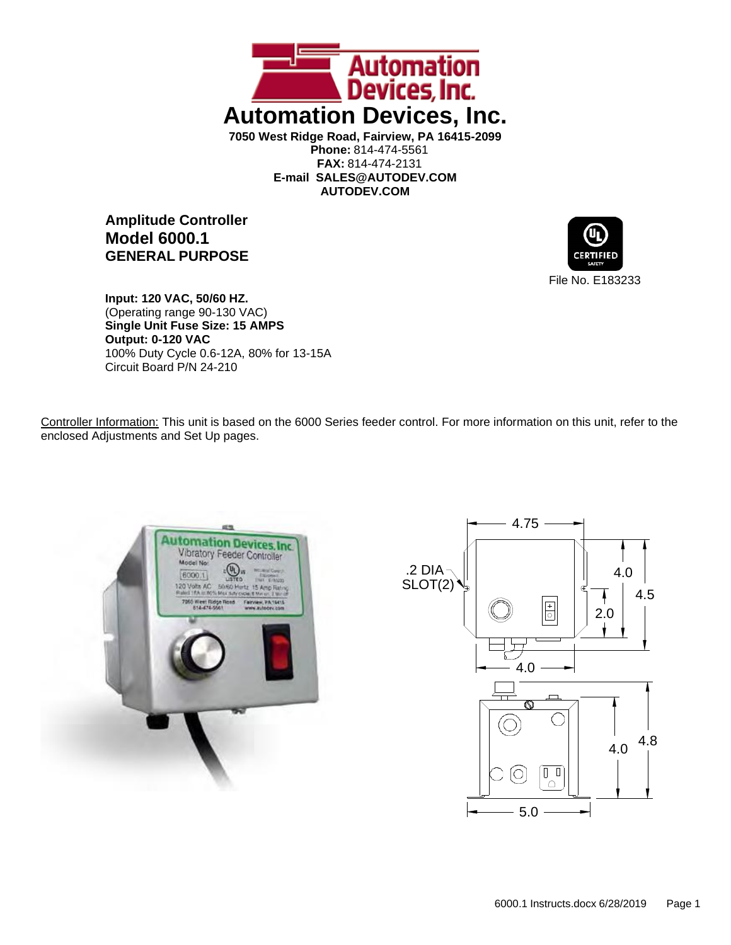

**Amplitude Controller Model 6000.1 GENERAL PURPOSE**



**Input: 120 VAC, 50/60 HZ.** (Operating range 90-130 VAC) **Single Unit Fuse Size: 15 AMPS Output: 0-120 VAC** 100% Duty Cycle 0.6-12A, 80% for 13-15A Circuit Board P/N 24-210

Controller Information: This unit is based on the 6000 Series feeder control. For more information on this unit, refer to the enclosed Adjustments and Set Up pages.



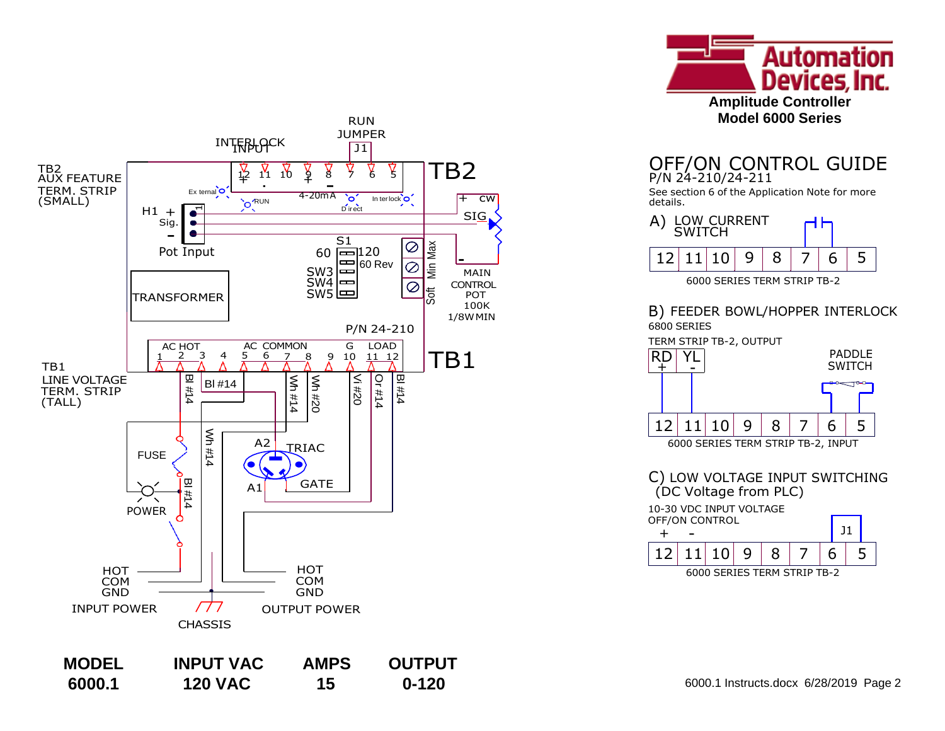

# P/N 24-210/24-211

See section 6 of the Application Note for more details.



## B) FEEDER BOWL/HOPPER INTERLOCK



C) LOW VOLTAGE INPUT SWITCHING (DC Voltage from PLC) 10-30 VDC INPUT VOLTAGE



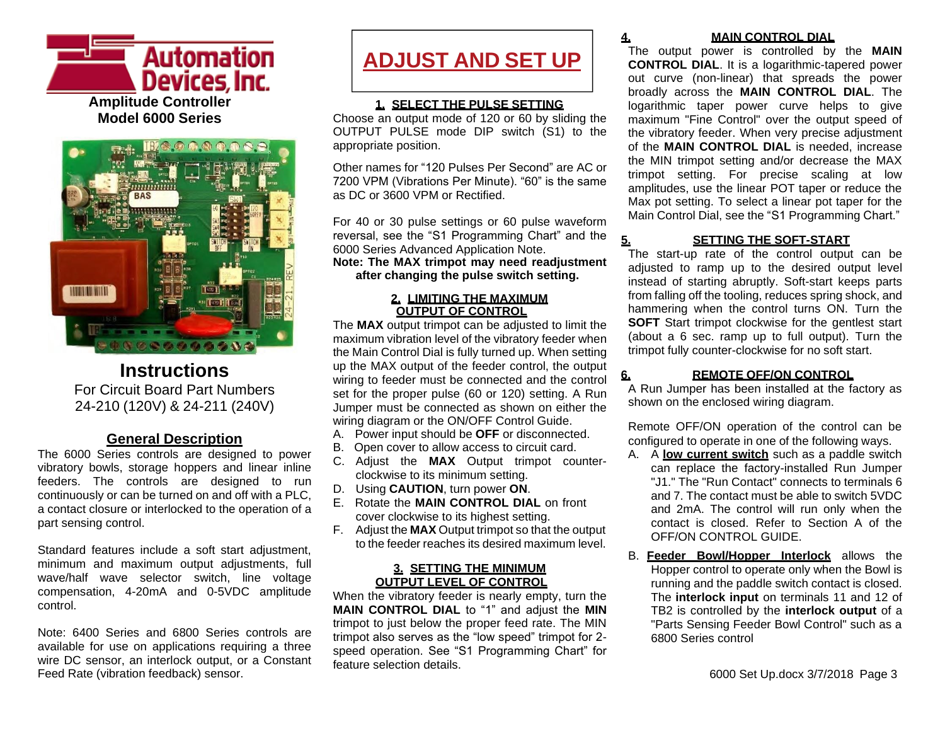



## **Instructions** For Circuit Board Part Numbers 24-210 (120V) & 24-211 (240V)

## **General Description**

The 6000 Series controls are designed to power vibratory bowls, storage hoppers and linear inline feeders. The controls are designed to run continuously or can be turned on and off with a PLC, a contact closure or interlocked to the operation of a part sensing control.

Standard features include a soft start adjustment, minimum and maximum output adjustments, full wave/half wave selector switch, line voltage compensation, 4-20mA and 0-5VDC amplitude control.

Note: 6400 Series and 6800 Series controls are available for use on applications requiring a three wire DC sensor, an interlock output, or a Constant Feed Rate (vibration feedback) sensor.

# **ADJUST AND SET UP**

## **1. SELECT THE PULSE SETTING**

Choose an output mode of 120 or 60 by sliding the OUTPUT PULSE mode DIP switch (S1) to the appropriate position.

Other names for "120 Pulses Per Second" are AC or 7200 VPM (Vibrations Per Minute). "60" is the same as DC or 3600 VPM or Rectified.

For 40 or 30 pulse settings or 60 pulse waveform reversal, see the "S1 Programming Chart" and the 6000 Series Advanced Application Note. **Note: The MAX trimpot may need readjustment**

**after changing the pulse switch setting.**

## **2. LIMITING THE MAXIMUM OUTPUT OF CONTROL**

The **MAX** output trimpot can be adjusted to limit the maximum vibration level of the vibratory feeder when the Main Control Dial is fully turned up. When setting up the MAX output of the feeder control, the output wiring to feeder must be connected and the control set for the proper pulse (60 or 120) setting. A Run Jumper must be connected as shown on either the wiring diagram or the ON/OFF Control Guide.

- A. Power input should be **OFF** or disconnected.
- B. Open cover to allow access to circuit card.
- C. Adjust the **MAX** Output trimpot counterclockwise to its minimum setting.
- D. Using **CAUTION**, turn power **ON**.
- E. Rotate the **MAIN CONTROL DIAL** on front cover clockwise to its highest setting.
- F. Adjust the **MAX** Output trimpot so that the output to the feeder reaches its desired maximum level.

### **3. SETTING THE MINIMUM OUTPUT LEVEL OF CONTROL**

When the vibratory feeder is nearly empty, turn the **MAIN CONTROL DIAL** to "1" and adjust the **MIN** trimpot to just below the proper feed rate. The MIN trimpot also serves as the "low speed" trimpot for 2 speed operation. See "S1 Programming Chart" for feature selection details.

## **4. MAIN CONTROL DIAL**

The output power is controlled by the **MAIN CONTROL DIAL**. It is a logarithmic-tapered power out curve (non-linear) that spreads the power broadly across the **MAIN CONTROL DIAL**. The logarithmic taper power curve helps to give maximum "Fine Control" over the output speed of the vibratory feeder. When very precise adjustment of the **MAIN CONTROL DIAL** is needed, increase the MIN trimpot setting and/or decrease the MAX trimpot setting. For precise scaling at low amplitudes, use the linear POT taper or reduce the Max pot setting. To select a linear pot taper for the Main Control Dial, see the "S1 Programming Chart."

## **5. SETTING THE SOFT-START**

The start-up rate of the control output can be adjusted to ramp up to the desired output level instead of starting abruptly. Soft-start keeps parts from falling off the tooling, reduces spring shock, and hammering when the control turns ON. Turn the **SOFT** Start trimpot clockwise for the gentlest start (about a 6 sec. ramp up to full output). Turn the trimpot fully counter-clockwise for no soft start.

## **6. REMOTE OFF/ON CONTROL**

A Run Jumper has been installed at the factory as shown on the enclosed wiring diagram.

Remote OFF/ON operation of the control can be configured to operate in one of the following ways.

- A. A **low current switch** such as a paddle switch can replace the factory-installed Run Jumper "J1." The "Run Contact" connects to terminals 6 and 7. The contact must be able to switch 5VDC and 2mA. The control will run only when the contact is closed. Refer to Section A of the OFF/ON CONTROL GUIDE.
- B. **Feeder Bowl/Hopper Interlock** allows the Hopper control to operate only when the Bowl is running and the paddle switch contact is closed. The **interlock input** on terminals 11 and 12 of TB2 is controlled by the **interlock output** of a "Parts Sensing Feeder Bowl Control" such as a 6800 Series control